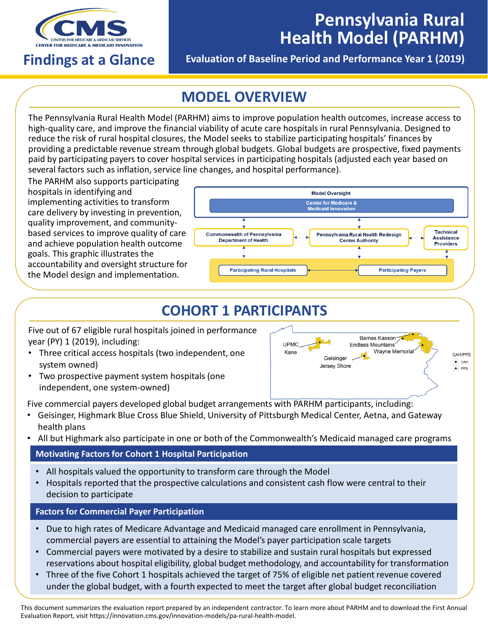

# **Pennsylvania Rural Health Model (PARHM)**

## **Findings at a Glance**

**Evaluation of Baseline Period and Performance Year 1 (2019)** 

## **MODEL OVERVIEW**

The Pennsylvania Rural Health Model (PARHM) aims to improve population health outcomes, increase access to high-quality care, and improve the financial viability of acute care hospitals in rural Pennsylvania. Designed to reduce the risk of rural hospital closures, the Model seeks to stabilize participating hospitals' finances by providing a predictable revenue stream through global budgets. Global budgets are prospective, fixed payments paid by participating payers to cover hospital services in participating hospitals (adjusted each year based on several factors such as inflation, service line changes, and hospital performance).

The PARHM also supports participating hospitals in identifying and implementing activities to transform care delivery by investing in prevention, quality improvement, and communitybased services to improve quality of care and achieve population health outcome goals. This graphic illustrates the accountability and oversight structure for the Model design and implementation.



## **COHORT 1 PARTICIPANTS**

Five out of 67 eligible rural hospitals joined in performance year (PY) 1 (2019), including:

- Three critical access hospitals (two independent, one system owned)
- Two prospective payment system hospitals (one independent, one system-owned)



Five commercial payers developed global budget arrangements with PARHM participants, including:

- Geisinger, Highmark Blue Cross Blue Shield, University of Pittsburgh Medical Center, Aetna, and Gateway health plans
- All but Highmark also participate in one or both of the Commonwealth's Medicaid managed care programs

### **Motivating Factors for Cohort 1 Hospital Participation**

- All hospitals valued the opportunity to transform care through the Model
- Hospitals reported that the prospective calculations and consistent cash flow were central to their decision to participate

### **Factors for Commercial Payer Participation**

- Due to high rates of Medicare Advantage and Medicaid managed care enrollment in Pennsylvania, commercial payers are essential to attaining the Model's payer participation scale targets
- Commercial payers were motivated by a desire to stabilize and sustain rural hospitals but expressed reservations about hospital eligibility, global budget methodology, and accountability for transformation
- Three of the five Cohort 1 hospitals achieved the target of 75% of eligible net patient revenue covered under the global budget, with a fourth expected to meet the target after global budget reconciliation

This document summarizes the evaluation report prepared by an independent contractor. To learn more about PARHM and to download the First Annual Evaluation Report, visit <https://innovation.cms.gov/innovation-models/pa-rural-health-model>.